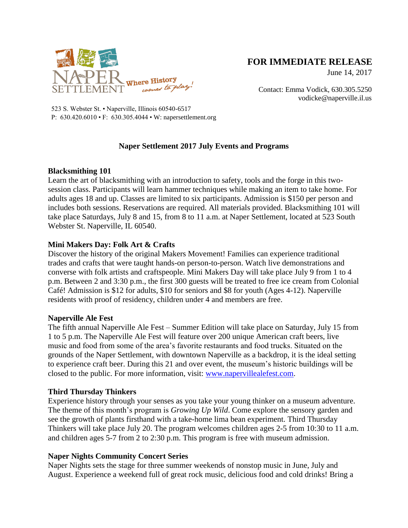

# **FOR IMMEDIATE RELEASE**

June 14, 2017

Contact: Emma Vodick, 630.305.5250 vodicke@naperville.il.us

523 S. Webster St. • Naperville, Illinois 60540-6517 P: 630.420.6010 • F: 630.305.4044 • W: napersettlement.org

# **Naper Settlement 2017 July Events and Programs**

#### **Blacksmithing 101**

Learn the art of blacksmithing with an introduction to safety, tools and the forge in this twosession class. Participants will learn hammer techniques while making an item to take home. For adults ages 18 and up. Classes are limited to six participants. Admission is \$150 per person and includes both sessions. Reservations are required. All materials provided. Blacksmithing 101 will take place Saturdays, July 8 and 15, from 8 to 11 a.m. at Naper Settlement, located at 523 South Webster St. Naperville, IL 60540.

# **Mini Makers Day: Folk Art & Crafts**

Discover the history of the original Makers Movement! Families can experience traditional trades and crafts that were taught hands-on person-to-person. Watch live demonstrations and converse with folk artists and craftspeople. Mini Makers Day will take place July 9 from 1 to 4 p.m. Between 2 and 3:30 p.m., the first 300 guests will be treated to free ice cream from Colonial Café! Admission is \$12 for adults, \$10 for seniors and \$8 for youth (Ages 4-12). Naperville residents with proof of residency, children under 4 and members are free.

#### **Naperville Ale Fest**

The fifth annual Naperville Ale Fest – Summer Edition will take place on Saturday, July 15 from 1 to 5 p.m. The Naperville Ale Fest will feature over 200 unique American craft beers, live music and food from some of the area's favorite restaurants and food trucks. Situated on the grounds of the Naper Settlement, with downtown Naperville as a backdrop, it is the ideal setting to experience craft beer. During this 21 and over event, the museum's historic buildings will be closed to the public. For more information, visit: [www.napervillealefest.com.](http://www.napervillealefest.com/)

# **Third Thursday Thinkers**

Experience history through your senses as you take your young thinker on a museum adventure. The theme of this month's program is *Growing Up Wild*. Come explore the sensory garden and see the growth of plants firsthand with a take-home lima bean experiment. Third Thursday Thinkers will take place July 20. The program welcomes children ages 2-5 from 10:30 to 11 a.m. and children ages 5-7 from 2 to 2:30 p.m. This program is free with museum admission.

# **Naper Nights Community Concert Series**

Naper Nights sets the stage for three summer weekends of nonstop music in June, July and August. Experience a weekend full of great rock music, delicious food and cold drinks! Bring a